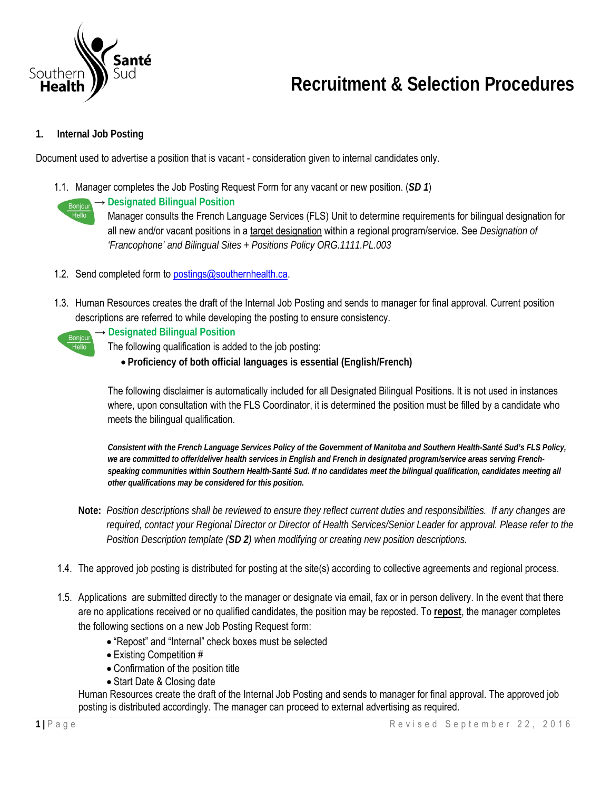

# **Recruitment & Selection Procedures**

## **1. Internal Job Posting**

Document used to advertise a position that is vacant - consideration given to internal candidates only.

1.1. Manager completes the Job Posting Request Form for any vacant or new position. (*SD 1*)



#### → **Designated Bilingual Position**

Manager consults the French Language Services (FLS) Unit to determine requirements for bilingual designation for all new and/or vacant positions in a target designation within a regional program/service. See *Designation of 'Francophone' and Bilingual Sites + Positions Policy ORG.1111.PL.003* 

- 1.2. Send completed form to postings@southernhealth.ca.
- 1.3. Human Resources creates the draft of the Internal Job Posting and sends to manager for final approval. Current position descriptions are referred to while developing the posting to ensure consistency.



#### → **Designated Bilingual Position**

The following qualification is added to the job posting:

**Proficiency of both official languages is essential (English/French)** 

The following disclaimer is automatically included for all Designated Bilingual Positions. It is not used in instances where, upon consultation with the FLS Coordinator, it is determined the position must be filled by a candidate who meets the bilingual qualification.

*Consistent with the French Language Services Policy of the Government of Manitoba and Southern Health-Santé Sud's FLS Policy, we are committed to offer/deliver health services in English and French in designated program/service areas serving Frenchspeaking communities within Southern Health-Santé Sud. If no candidates meet the bilingual qualification, candidates meeting all other qualifications may be considered for this position.* 

- **Note:** *Position descriptions shall be reviewed to ensure they reflect current duties and responsibilities. If any changes are required, contact your Regional Director or Director of Health Services/Senior Leader for approval. Please refer to the Position Description template (SD 2) when modifying or creating new position descriptions.*
- 1.4. The approved job posting is distributed for posting at the site(s) according to collective agreements and regional process.
- 1.5. Applications are submitted directly to the manager or designate via email, fax or in person delivery. In the event that there are no applications received or no qualified candidates, the position may be reposted. To **repost**, the manager completes the following sections on a new Job Posting Request form:
	- "Repost" and "Internal" check boxes must be selected
	- Existing Competition #
	- Confirmation of the position title
	- Start Date & Closing date

Human Resources create the draft of the Internal Job Posting and sends to manager for final approval. The approved job posting is distributed accordingly. The manager can proceed to external advertising as required.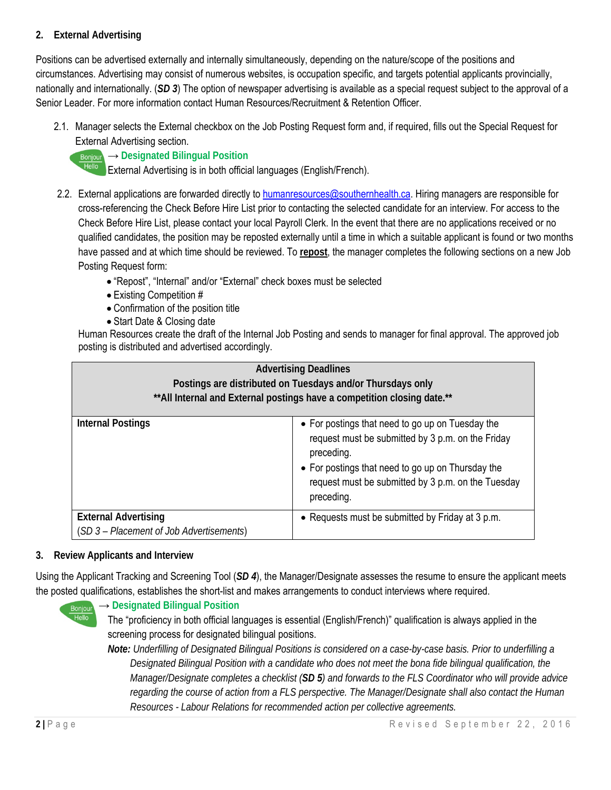## **2. External Advertising**

Positions can be advertised externally and internally simultaneously, depending on the nature/scope of the positions and circumstances. Advertising may consist of numerous websites, is occupation specific, and targets potential applicants provincially, nationally and internationally. (*SD 3*) The option of newspaper advertising is available as a special request subject to the approval of a Senior Leader. For more information contact Human Resources/Recruitment & Retention Officer.

2.1. Manager selects the External checkbox on the Job Posting Request form and, if required, fills out the Special Request for External Advertising section.



### **Bonjour → Designated Bilingual Position**

External Advertising is in both official languages (English/French).

- 2.2. External applications are forwarded directly to humanresources@southernhealth.ca. Hiring managers are responsible for cross-referencing the Check Before Hire List prior to contacting the selected candidate for an interview. For access to the Check Before Hire List, please contact your local Payroll Clerk. In the event that there are no applications received or no qualified candidates, the position may be reposted externally until a time in which a suitable applicant is found or two months have passed and at which time should be reviewed. To **repost**, the manager completes the following sections on a new Job Posting Request form:
	- "Repost", "Internal" and/or "External" check boxes must be selected
	- Existing Competition #
	- Confirmation of the position title
	- Start Date & Closing date

Human Resources create the draft of the Internal Job Posting and sends to manager for final approval. The approved job posting is distributed and advertised accordingly.

| <b>Advertising Deadlines</b><br>Postings are distributed on Tuesdays and/or Thursdays only<br>** All Internal and External postings have a competition closing date.** |                                                                                                                                                                                                                                              |
|------------------------------------------------------------------------------------------------------------------------------------------------------------------------|----------------------------------------------------------------------------------------------------------------------------------------------------------------------------------------------------------------------------------------------|
| <b>Internal Postings</b>                                                                                                                                               | • For postings that need to go up on Tuesday the<br>request must be submitted by 3 p.m. on the Friday<br>preceding.<br>• For postings that need to go up on Thursday the<br>request must be submitted by 3 p.m. on the Tuesday<br>preceding. |
| <b>External Advertising</b><br>(SD 3 - Placement of Job Advertisements)                                                                                                | • Requests must be submitted by Friday at 3 p.m.                                                                                                                                                                                             |

## **3. Review Applicants and Interview**

Using the Applicant Tracking and Screening Tool (*SD 4*), the Manager/Designate assesses the resume to ensure the applicant meets the posted qualifications, establishes the short-list and makes arrangements to conduct interviews where required.



## → **Designated Bilingual Position**

The "proficiency in both official languages is essential (English/French)" qualification is always applied in the screening process for designated bilingual positions.

*Note: Underfilling of Designated Bilingual Positions is considered on a case-by-case basis. Prior to underfilling a Designated Bilingual Position with a candidate who does not meet the bona fide bilingual qualification, the Manager/Designate completes a checklist (SD 5) and forwards to the FLS Coordinator who will provide advice regarding the course of action from a FLS perspective. The Manager/Designate shall also contact the Human Resources - Labour Relations for recommended action per collective agreements.*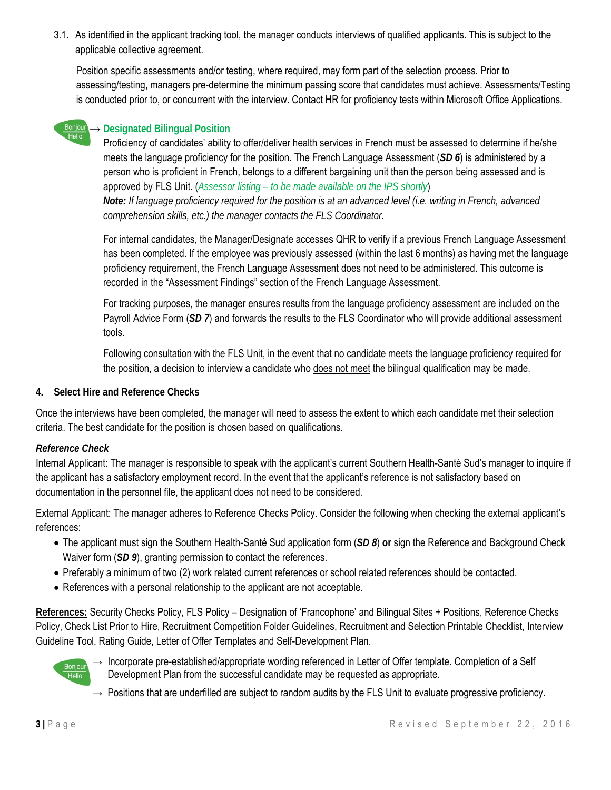3.1. As identified in the applicant tracking tool, the manager conducts interviews of qualified applicants. This is subject to the applicable collective agreement.

Position specific assessments and/or testing, where required, may form part of the selection process. Prior to assessing/testing, managers pre-determine the minimum passing score that candidates must achieve. Assessments/Testing is conducted prior to, or concurrent with the interview. Contact HR for proficiency tests within Microsoft Office Applications.



### → **Designated Bilingual Position**

Proficiency of candidates' ability to offer/deliver health services in French must be assessed to determine if he/she meets the language proficiency for the position. The French Language Assessment (*SD 6*) is administered by a person who is proficient in French, belongs to a different bargaining unit than the person being assessed and is approved by FLS Unit. (*Assessor listing – to be made available on the IPS shortly*) *Note: If language proficiency required for the position is at an advanced level (i.e. writing in French, advanced comprehension skills, etc.) the manager contacts the FLS Coordinator.* 

For internal candidates, the Manager/Designate accesses QHR to verify if a previous French Language Assessment has been completed. If the employee was previously assessed (within the last 6 months) as having met the language proficiency requirement, the French Language Assessment does not need to be administered. This outcome is recorded in the "Assessment Findings" section of the French Language Assessment.

For tracking purposes, the manager ensures results from the language proficiency assessment are included on the Payroll Advice Form (SD 7) and forwards the results to the FLS Coordinator who will provide additional assessment tools.

Following consultation with the FLS Unit, in the event that no candidate meets the language proficiency required for the position, a decision to interview a candidate who does not meet the bilingual qualification may be made.

#### **4. Select Hire and Reference Checks**

Once the interviews have been completed, the manager will need to assess the extent to which each candidate met their selection criteria. The best candidate for the position is chosen based on qualifications.

#### *Reference Check*

Internal Applicant: The manager is responsible to speak with the applicant's current Southern Health-Santé Sud's manager to inquire if the applicant has a satisfactory employment record. In the event that the applicant's reference is not satisfactory based on documentation in the personnel file, the applicant does not need to be considered.

External Applicant: The manager adheres to Reference Checks Policy. Consider the following when checking the external applicant's references:

- The applicant must sign the Southern Health-Santé Sud application form (*SD 8*) **or** sign the Reference and Background Check Waiver form (*SD 9*), granting permission to contact the references.
- Preferably a minimum of two (2) work related current references or school related references should be contacted.
- References with a personal relationship to the applicant are not acceptable.

**References:** Security Checks Policy, FLS Policy – Designation of 'Francophone' and Bilingual Sites + Positions, Reference Checks Policy, Check List Prior to Hire, Recruitment Competition Folder Guidelines, Recruitment and Selection Printable Checklist, Interview Guideline Tool, Rating Guide, Letter of Offer Templates and Self-Development Plan.



- $\rightarrow$  Incorporate pre-established/appropriate wording referenced in Letter of Offer template. Completion of a Self Development Plan from the successful candidate may be requested as appropriate.
- $\rightarrow$  Positions that are underfilled are subject to random audits by the FLS Unit to evaluate progressive proficiency.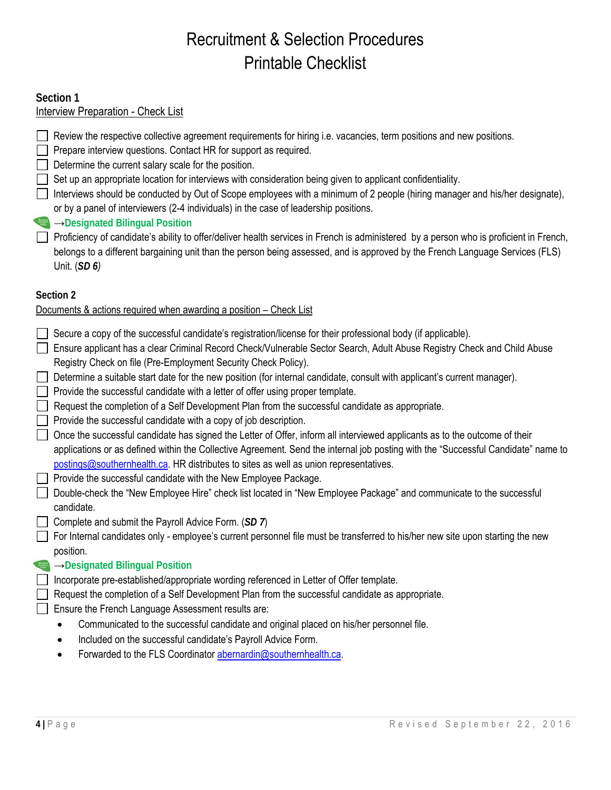## Recruitment & Selection Procedures Printable Checklist

## **Section 1**

## Interview Preparation - Check List

- Review the respective collective agreement requirements for hiring i.e. vacancies, term positions and new positions.
- $\Box$  Prepare interview questions. Contact HR for support as required.
- Determine the current salary scale for the position.
- Set up an appropriate location for interviews with consideration being given to applicant confidentiality.
- Interviews should be conducted by Out of Scope employees with a minimum of 2 people (hiring manager and his/her designate), or by a panel of interviewers (2-4 individuals) in the case of leadership positions.
- →**Designated Bilingual Position**
- Proficiency of candidate's ability to offer/deliver health services in French is administered by a person who is proficient in French, belongs to a different bargaining unit than the person being assessed, and is approved by the French Language Services (FLS) Unit. (*SD 6)*

## **Section 2**

## Documents & actions required when awarding a position – Check List

- Secure a copy of the successful candidate's registration/license for their professional body (if applicable).
- Ensure applicant has a clear Criminal Record Check/Vulnerable Sector Search, Adult Abuse Registry Check and Child Abuse Registry Check on file (Pre-Employment Security Check Policy).
- Determine a suitable start date for the new position (for internal candidate, consult with applicant's current manager).
- $\Box$  Provide the successful candidate with a letter of offer using proper template.
- $\Box$  Request the completion of a Self Development Plan from the successful candidate as appropriate.
- $\Box$  Provide the successful candidate with a copy of job description.
- Once the successful candidate has signed the Letter of Offer, inform all interviewed applicants as to the outcome of their applications or as defined within the Collective Agreement. Send the internal job posting with the "Successful Candidate" name to postings@southernhealth.ca. HR distributes to sites as well as union representatives.
- $\Box$  Provide the successful candidate with the New Employee Package.
- Double-check the "New Employee Hire" check list located in "New Employee Package" and communicate to the successful candidate.
- Complete and submit the Payroll Advice Form. (*SD 7*)
- For Internal candidates only employee's current personnel file must be transferred to his/her new site upon starting the new position.
- →**Designated Bilingual Position**
- Incorporate pre-established/appropriate wording referenced in Letter of Offer template.
- Request the completion of a Self Development Plan from the successful candidate as appropriate.
- Ensure the French Language Assessment results are:
	- Communicated to the successful candidate and original placed on his/her personnel file.
	- Included on the successful candidate's Payroll Advice Form.
	- Forwarded to the FLS Coordinator abernardin@southernhealth.ca.